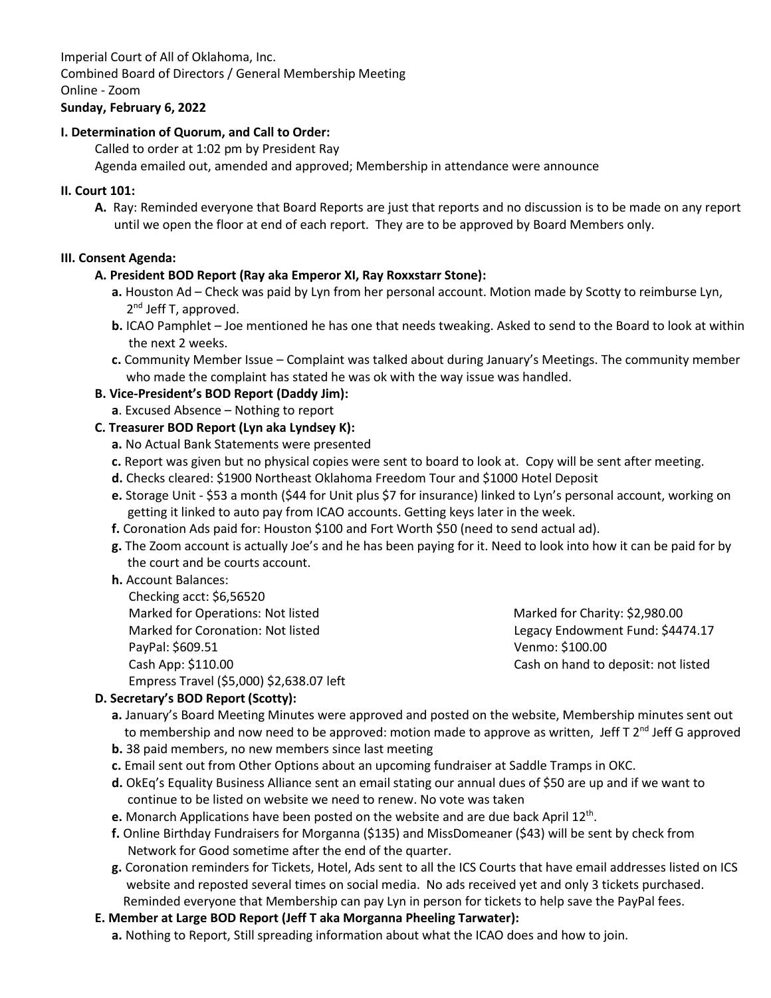Imperial Court of All of Oklahoma, Inc. Combined Board of Directors / General Membership Meeting Online - Zoom

# **Sunday, February 6, 2022**

#### **I. Determination of Quorum, and Call to Order:**

Called to order at 1:02 pm by President Ray

Agenda emailed out, amended and approved; Membership in attendance were announce

#### **II. Court 101:**

**A.** Ray: Reminded everyone that Board Reports are just that reports and no discussion is to be made on any report until we open the floor at end of each report. They are to be approved by Board Members only.

#### **III. Consent Agenda:**

#### **A. President BOD Report (Ray aka Emperor XI, Ray Roxxstarr Stone):**

- **a.** Houston Ad Check was paid by Lyn from her personal account. Motion made by Scotty to reimburse Lyn, 2  $2<sup>nd</sup>$  Jeff T, approved.
	- **b.** ICAO Pamphlet Joe mentioned he has one that needs tweaking. Asked to send to the Board to look at within the next 2 weeks.
	- **c.** Community Member Issue Complaint was talked about during January's Meetings. The community member who made the complaint has stated he was ok with the way issue was handled.

# **B. Vice-President's BOD Report (Daddy Jim):**

**a**. Excused Absence – Nothing to report

#### **C. Treasurer BOD Report (Lyn aka Lyndsey K):**

- **a.** No Actual Bank Statements were presented
- **c.** Report was given but no physical copies were sent to board to look at. Copy will be sent after meeting.
- **d.** Checks cleared: \$1900 Northeast Oklahoma Freedom Tour and \$1000 Hotel Deposit
- **e.** Storage Unit \$53 a month (\$44 for Unit plus \$7 for insurance) linked to Lyn's personal account, working on getting it linked to auto pay from ICAO accounts. Getting keys later in the week.
- **f.** Coronation Ads paid for: Houston \$100 and Fort Worth \$50 (need to send actual ad).
- **g.** The Zoom account is actually Joe's and he has been paying for it. Need to look into how it can be paid for by the court and be courts account.
- **h.** Account Balances:

| Checking acct: \$6,56520                 |
|------------------------------------------|
| Marked for Operations: Not listed        |
| Marked for Coronation: Not listed        |
| PayPal: \$609.51                         |
| Cash App: \$110.00                       |
| Empress Travel (\$5,000) \$2,638.07 left |

Marked for Charity: \$2,980.00 Legacy Endowment Fund: \$4474.17 Venmo: \$100.00 Cash on hand to deposit: not listed

# **D. Secretary's BOD Report (Scotty):**

- **a.** January's Board Meeting Minutes were approved and posted on the website, Membership minutes sent out to membership and now need to be approved: motion made to approve as written, Jeff T  $2^{nd}$  Jeff G approved
- **b.** 38 paid members, no new members since last meeting
- **c.** Email sent out from Other Options about an upcoming fundraiser at Saddle Tramps in OKC.
- **d.** OkEq's Equality Business Alliance sent an email stating our annual dues of \$50 are up and if we want to continue to be listed on website we need to renew. No vote was taken
- e. Monarch Applications have been posted on the website and are due back April 12<sup>th</sup>.
- **f.** Online Birthday Fundraisers for Morganna (\$135) and MissDomeaner (\$43) will be sent by check from Network for Good sometime after the end of the quarter.
- **g.** Coronation reminders for Tickets, Hotel, Ads sent to all the ICS Courts that have email addresses listed on ICS website and reposted several times on social media. No ads received yet and only 3 tickets purchased. Reminded everyone that Membership can pay Lyn in person for tickets to help save the PayPal fees.
- **E. Member at Large BOD Report (Jeff T aka Morganna Pheeling Tarwater):**
	- **a.** Nothing to Report, Still spreading information about what the ICAO does and how to join.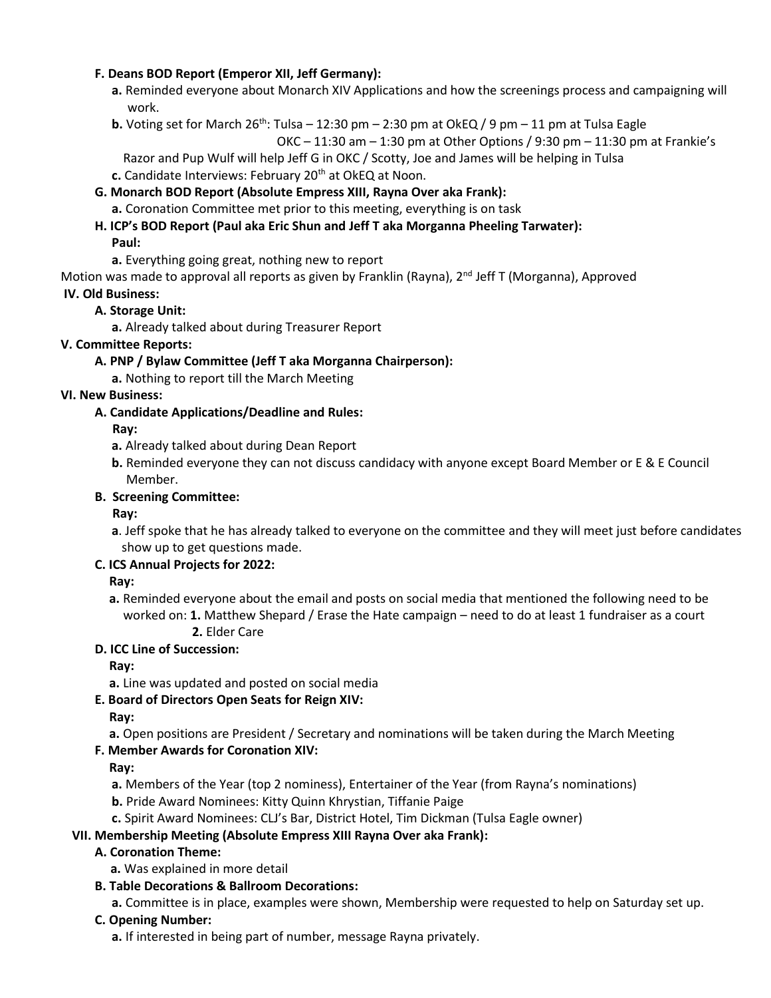#### **F. Deans BOD Report (Emperor XII, Jeff Germany):**

- **a.** Reminded everyone about Monarch XIV Applications and how the screenings process and campaigning will work.
- **b.** Voting set for March 26<sup>th</sup>: Tulsa 12:30 pm 2:30 pm at OkEQ / 9 pm 11 pm at Tulsa Eagle

```
OKC -11:30 am -1:30 pm at Other Options / 9:30 pm -11:30 pm at Frankie's
```
Razor and Pup Wulf will help Jeff G in OKC / Scotty, Joe and James will be helping in Tulsa

**c.** Candidate Interviews: February 20<sup>th</sup> at OkEQ at Noon.

# **G. Monarch BOD Report (Absolute Empress XIII, Rayna Over aka Frank):**

**a.** Coronation Committee met prior to this meeting, everything is on task

# **H. ICP's BOD Report (Paul aka Eric Shun and Jeff T aka Morganna Pheeling Tarwater):**

# **Paul:**

**a.** Everything going great, nothing new to report

Motion was made to approval all reports as given by Franklin (Rayna), 2<sup>nd</sup> Jeff T (Morganna), Approved **IV. Old Business:**

# **A. Storage Unit:**

**a.** Already talked about during Treasurer Report

#### **V. Committee Reports:**

# **A. PNP / Bylaw Committee (Jeff T aka Morganna Chairperson):**

**a.** Nothing to report till the March Meeting

# **VI. New Business:**

# **A. Candidate Applications/Deadline and Rules:**

# **Ray:**

- **a.** Already talked about during Dean Report
- **b.** Reminded everyone they can not discuss candidacy with anyone except Board Member or E & E Council Member.

#### **B. Screening Committee:**

# **Ray:**

**a**. Jeff spoke that he has already talked to everyone on the committee and they will meet just before candidates show up to get questions made.

# **C. ICS Annual Projects for 2022:**

#### **Ray:**

**a.** Reminded everyone about the email and posts on social media that mentioned the following need to be worked on: **1.** Matthew Shepard / Erase the Hate campaign – need to do at least 1 fundraiser as a court **2.** Elder Care

# **D. ICC Line of Succession:**

**Ray:**

**a.** Line was updated and posted on social media

# **E. Board of Directors Open Seats for Reign XIV:**

**Ray:**

**a.** Open positions are President / Secretary and nominations will be taken during the March Meeting

# **F. Member Awards for Coronation XIV:**

**Ray:**

**a.** Members of the Year (top 2 nominess), Entertainer of the Year (from Rayna's nominations)

- **b.** Pride Award Nominees: Kitty Quinn Khrystian, Tiffanie Paige
- **c.** Spirit Award Nominees: CLJ's Bar, District Hotel, Tim Dickman (Tulsa Eagle owner)

# **VII. Membership Meeting (Absolute Empress XIII Rayna Over aka Frank):**

# **A. Coronation Theme:**

- **a.** Was explained in more detail
- **B. Table Decorations & Ballroom Decorations:**

**a.** Committee is in place, examples were shown, Membership were requested to help on Saturday set up.

#### **C. Opening Number:**

**a.** If interested in being part of number, message Rayna privately.